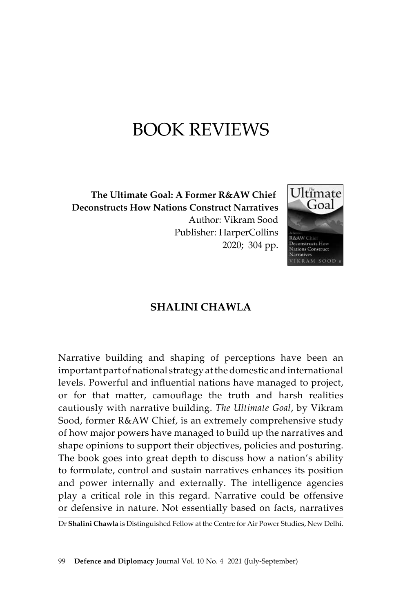## Book Reviews

**The Ultimate Goal: A Former R&AW Chief Deconstructs How Nations Construct Narratives**  Author: Vikram Sood Publisher: HarperCollins 2020; 304 pp.



## **Shalini Chawla**

Narrative building and shaping of perceptions have been an important part of national strategy at the domestic and international levels. Powerful and influential nations have managed to project, or for that matter, camouflage the truth and harsh realities cautiously with narrative building. *The Ultimate Goal*, by Vikram Sood, former R&AW Chief, is an extremely comprehensive study of how major powers have managed to build up the narratives and shape opinions to support their objectives, policies and posturing. The book goes into great depth to discuss how a nation's ability to formulate, control and sustain narratives enhances its position and power internally and externally. The intelligence agencies play a critical role in this regard. Narrative could be offensive or defensive in nature. Not essentially based on facts, narratives

Dr **Shalini Chawla** is Distinguished Fellow at the Centre for Air Power Studies, New Delhi.

99 **Defence and Diplomacy** Journal Vol. 10 No. 4 2021 (July-September)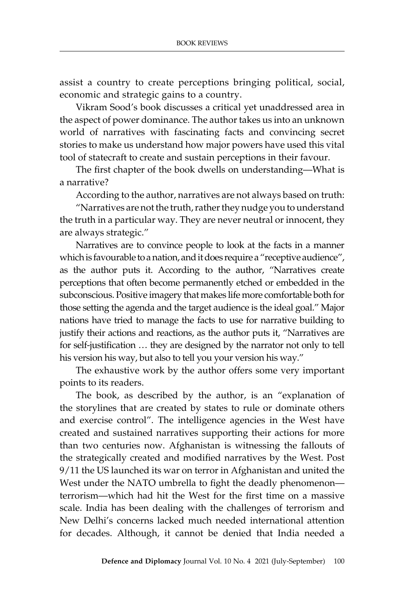assist a country to create perceptions bringing political, social, economic and strategic gains to a country.

Vikram Sood's book discusses a critical yet unaddressed area in the aspect of power dominance. The author takes us into an unknown world of narratives with fascinating facts and convincing secret stories to make us understand how major powers have used this vital tool of statecraft to create and sustain perceptions in their favour.

The first chapter of the book dwells on understanding—What is a narrative?

According to the author, narratives are not always based on truth:

"Narratives are not the truth, rather they nudge you to understand the truth in a particular way. They are never neutral or innocent, they are always strategic."

Narratives are to convince people to look at the facts in a manner which is favourable to a nation, and it does require a "receptive audience", as the author puts it. According to the author, "Narratives create perceptions that often become permanently etched or embedded in the subconscious. Positive imagery that makes life more comfortable both for those setting the agenda and the target audience is the ideal goal." Major nations have tried to manage the facts to use for narrative building to justify their actions and reactions, as the author puts it, "Narratives are for self-justification … they are designed by the narrator not only to tell his version his way, but also to tell you your version his way."

The exhaustive work by the author offers some very important points to its readers.

The book, as described by the author, is an "explanation of the storylines that are created by states to rule or dominate others and exercise control". The intelligence agencies in the West have created and sustained narratives supporting their actions for more than two centuries now. Afghanistan is witnessing the fallouts of the strategically created and modified narratives by the West. Post 9/11 the US launched its war on terror in Afghanistan and united the West under the NATO umbrella to fight the deadly phenomenon terrorism—which had hit the West for the first time on a massive scale. India has been dealing with the challenges of terrorism and New Delhi's concerns lacked much needed international attention for decades. Although, it cannot be denied that India needed a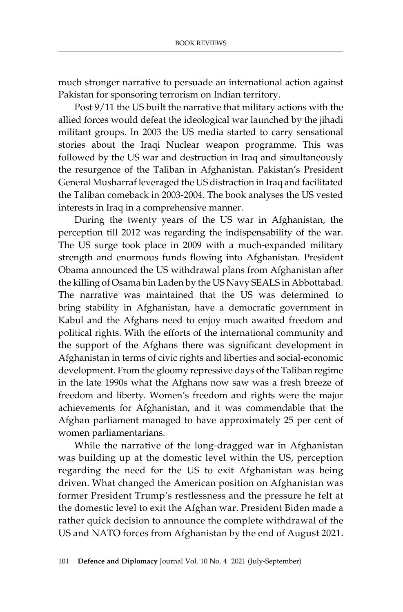much stronger narrative to persuade an international action against Pakistan for sponsoring terrorism on Indian territory.

Post 9/11 the US built the narrative that military actions with the allied forces would defeat the ideological war launched by the jihadi militant groups. In 2003 the US media started to carry sensational stories about the Iraqi Nuclear weapon programme. This was followed by the US war and destruction in Iraq and simultaneously the resurgence of the Taliban in Afghanistan. Pakistan's President General Musharraf leveraged the US distraction in Iraq and facilitated the Taliban comeback in 2003-2004. The book analyses the US vested interests in Iraq in a comprehensive manner.

During the twenty years of the US war in Afghanistan, the perception till 2012 was regarding the indispensability of the war. The US surge took place in 2009 with a much-expanded military strength and enormous funds flowing into Afghanistan. President Obama announced the US withdrawal plans from Afghanistan after the killing of Osama bin Laden by the US Navy SEALS in Abbottabad. The narrative was maintained that the US was determined to bring stability in Afghanistan, have a democratic government in Kabul and the Afghans need to enjoy much awaited freedom and political rights. With the efforts of the international community and the support of the Afghans there was significant development in Afghanistan in terms of civic rights and liberties and social-economic development. From the gloomy repressive days of the Taliban regime in the late 1990s what the Afghans now saw was a fresh breeze of freedom and liberty. Women's freedom and rights were the major achievements for Afghanistan, and it was commendable that the Afghan parliament managed to have approximately 25 per cent of women parliamentarians.

While the narrative of the long-dragged war in Afghanistan was building up at the domestic level within the US, perception regarding the need for the US to exit Afghanistan was being driven. What changed the American position on Afghanistan was former President Trump's restlessness and the pressure he felt at the domestic level to exit the Afghan war. President Biden made a rather quick decision to announce the complete withdrawal of the US and NATO forces from Afghanistan by the end of August 2021.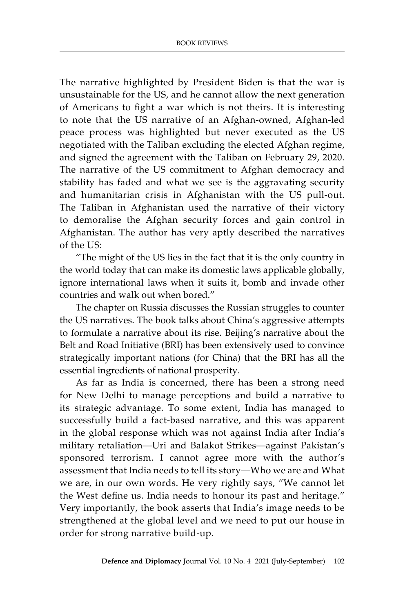The narrative highlighted by President Biden is that the war is unsustainable for the US, and he cannot allow the next generation of Americans to fight a war which is not theirs. It is interesting to note that the US narrative of an Afghan-owned, Afghan-led peace process was highlighted but never executed as the US negotiated with the Taliban excluding the elected Afghan regime, and signed the agreement with the Taliban on February 29, 2020. The narrative of the US commitment to Afghan democracy and stability has faded and what we see is the aggravating security and humanitarian crisis in Afghanistan with the US pull-out. The Taliban in Afghanistan used the narrative of their victory to demoralise the Afghan security forces and gain control in Afghanistan. The author has very aptly described the narratives of the US:

"The might of the US lies in the fact that it is the only country in the world today that can make its domestic laws applicable globally, ignore international laws when it suits it, bomb and invade other countries and walk out when bored."

The chapter on Russia discusses the Russian struggles to counter the US narratives. The book talks about China's aggressive attempts to formulate a narrative about its rise. Beijing's narrative about the Belt and Road Initiative (BRI) has been extensively used to convince strategically important nations (for China) that the BRI has all the essential ingredients of national prosperity.

As far as India is concerned, there has been a strong need for New Delhi to manage perceptions and build a narrative to its strategic advantage. To some extent, India has managed to successfully build a fact-based narrative, and this was apparent in the global response which was not against India after India's military retaliation—Uri and Balakot Strikes—against Pakistan's sponsored terrorism. I cannot agree more with the author's assessment that India needs to tell its story—Who we are and What we are, in our own words. He very rightly says, "We cannot let the West define us. India needs to honour its past and heritage." Very importantly, the book asserts that India's image needs to be strengthened at the global level and we need to put our house in order for strong narrative build-up.